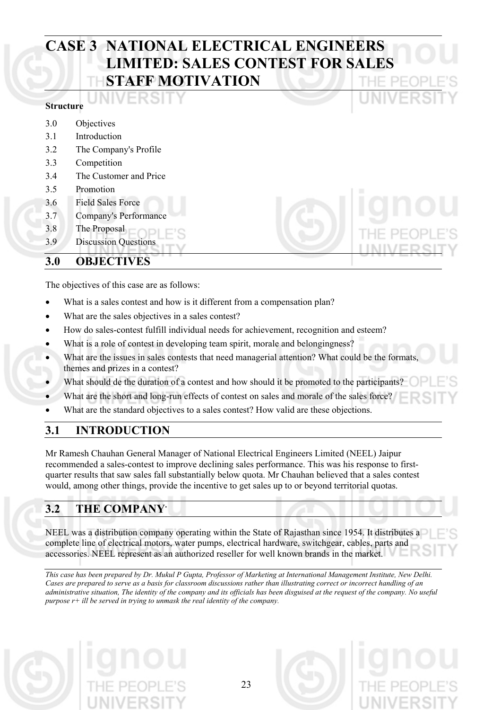# **CASE 3 NATIONAL ELECTRICAL ENGINEERS LIMITED: SALES CONTEST FOR SALES STAFF MOTIVATION**

#### **Structure**

- 3.0 Objectives
- 3.1 Introduction
- 3.2 The Company's Profile
- 3.3 Competition
- 3.4 The Customer and Price
- 3.5 Promotion
- 3.6 Field Sales Force
- 3.7 Company's Performance
- 3.8 The Proposal
- 3.9 Discussion Questions

## **3.0 OBJECTIVES**

The objectives of this case are as follows:

- What is a sales contest and how is it different from a compensation plan?
- What are the sales objectives in a sales contest?
- How do sales-contest fulfill individual needs for achievement, recognition and esteem?
- What is a role of contest in developing team spirit, morale and belongingness?
- What are the issues in sales contests that need managerial attention? What could be the formats, themes and prizes in a contest?
- What should de the duration of a contest and how should it be promoted to the participants?
- What are the short and long-run effects of contest on sales and morale of the sales force?
- What are the standard objectives to a sales contest? How valid are these objections.

# **3.1 INTRODUCTION**

Mr Ramesh Chauhan General Manager of National Electrical Engineers Limited (NEEL) Jaipur recommended a sales-contest to improve declining sales performance. This was his response to firstquarter results that saw sales fall substantially below quota. Mr Chauhan believed that a sales contest would, among other things, provide the incentive to get sales up to or beyond territorial quotas.

# **3.2 THE COMPANY.**

NEEL was a distribution company operating within the State of Rajasthan since 1954. It distributes a complete line of electrical motors, water pumps, electrical hardware, switchgear, cables, parts and accessories. NEEL represent as an authorized reseller for well known brands in the market.

*This case has been prepared by Dr. Mukul P Gupta, Professor of Marketing at International Management Institute, New Delhi. Cases are prepared to serve as a basis for classroom discussions rather than illustrating correct or incorrect handling of an administrative situation, The identity of the company and its officials has been disguised at the request of the company. No useful purpose r+ ill be served in trying to unmask the real identity of the company.* 

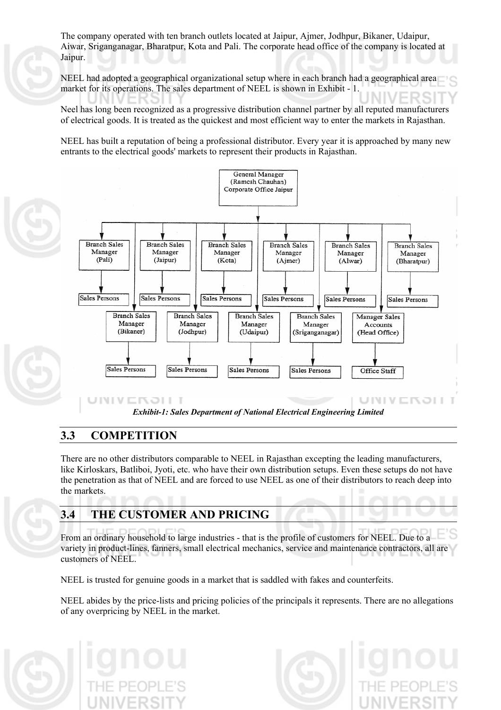The company operated with ten branch outlets located at Jaipur, Ajmer, Jodhpur, Bikaner, Udaipur, Aiwar, Sriganganagar, Bharatpur, Kota and Pali. The corporate head office of the company is located at Jaipur.

NEEL had adopted a geographical organizational setup where in each branch had a geographical area market for its operations. The sales department of NEEL is shown in Exhibit - 1.

Neel has long been recognized as a progressive distribution channel partner by all reputed manufacturers of electrical goods. It is treated as the quickest and most efficient way to enter the markets in Rajasthan.

NEEL has built a reputation of being a professional distributor. Every year it is approached by many new entrants to the electrical goods' markets to represent their products in Rajasthan.



## **3.3 COMPETITION**

There are no other distributors comparable to NEEL in Rajasthan excepting the leading manufacturers, like Kirloskars, Batliboi, Jyoti, etc. who have their own distribution setups. Even these setups do not have the penetration as that of NEEL and are forced to use NEEL as one of their distributors to reach deep into the markets.

# **3.4 THE CUSTOMER AND PRICING**

From an ordinary household to large industries - that is the profile of customers for NEEL. Due to a variety in product-lines, fanners, small electrical mechanics, service and maintenance contractors, all are customers of NEEL.

NEEL is trusted for genuine goods in a market that is saddled with fakes and counterfeits.

NEEL abides by the price-lists and pricing policies of the principals it represents. There are no allegations of any overpricing by NEEL in the market.

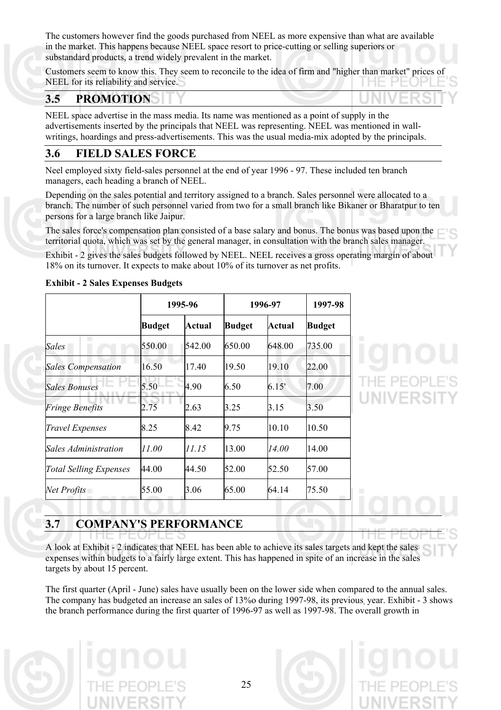The customers however find the goods purchased from NEEL as more expensive than what are available in the market. This happens because NEEL space resort to price-cutting or selling superiors or substandard products, a trend widely prevalent in the market.

Customers seem to know this. They seem to reconcile to the idea of firm and "higher than market" prices of NEEL for its reliability and service.

## **3.5 PROMOTION**

NEEL space advertise in the mass media. Its name was mentioned as a point of supply in the advertisements inserted by the principals that NEEL was representing. NEEL was mentioned in wallwritings, hoardings and press-advertisements. This was the usual media-mix adopted by the principals.

#### **3.6 FIELD SALES FORCE**

Neel employed sixty field-sales personnel at the end of year 1996 - 97. These included ten branch managers, each heading a branch of NEEL.

Depending on the sales potential and territory assigned to a branch. Sales personnel were allocated to a branch. The number of such personnel varied from two for a small branch like Bikaner or Bharatpur to ten persons for a large branch like Jaipur.

The sales force's compensation plan consisted of a base salary and bonus. The bonus was based upon the territorial quota, which was set by the general manager, in consultation with the branch sales manager.

Exhibit - 2 gives the sales budgets followed by NEEL. NEEL receives a gross operating margin of about 18% on its turnover. It expects to make about 10% of its turnover as net profits.

|                               | 1995-96       |        |               | 1996-97 |               |
|-------------------------------|---------------|--------|---------------|---------|---------------|
|                               | <b>Budget</b> | Actual | <b>Budget</b> | Actual  | <b>Budget</b> |
| Sales                         | 550.00        | 542.00 | 650.00        | 648.00  | 735.00        |
| <b>Sales Compensation</b>     | 16.50         | 17.40  | 19.50         | 19.10   | 22.00         |
| <b>Sales Bonuses</b>          | 5.50          | 4.90   | 6.50          | 6.15'   | 7.00          |
| <b>Fringe Benefits</b>        | 2.75          | 2.63   | 3.25          | 3.15    | 3.50          |
| <b>Travel Expenses</b>        | 8.25          | 8.42   | 9.75          | 10.10   | 10.50         |
| Sales Administration          | 11.00         | 11.15  | 13.00         | 14.00   | 14.00         |
| <b>Total Selling Expenses</b> | 44.00         | 44.50  | 52.00         | 52.50   | 57.00         |
| Net Profits                   | 55.00         | 3.06   | 65.00         | 64.14   | 75.50         |

#### **Exhibit - 2 Sales Expenses Budgets**

# **3.7 COMPANY'S PERFORMANCE**

A look at Exhibit - 2 indicates that NEEL has been able to achieve its sales targets and kept the sales expenses within budgets to a fairly large extent. This has happened in spite of an increase in the sales targets by about 15 percent.

The first quarter (April - June) sales have usually been on the lower side when compared to the annual sales. The company has budgeted an increase an sales of 13%o during 1997-98, its previous, year. Exhibit - 3 shows the branch performance during the first quarter of 1996-97 as well as 1997-98. The overall growth in

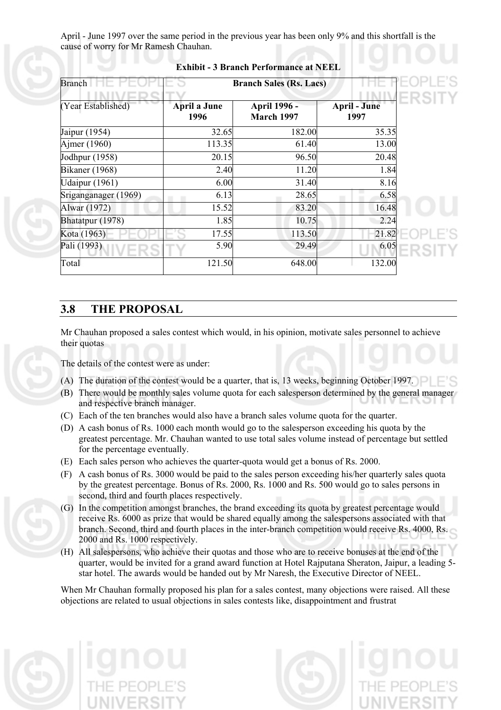April - June 1997 over the same period in the previous year has been only 9% and this shortfall is the cause of worry for Mr Ramesh Chauhan.

| <b>Branch</b>         | <b>Branch Sales (Rs. Lacs)</b> |                                   |                             |  |  |
|-----------------------|--------------------------------|-----------------------------------|-----------------------------|--|--|
| (Year Established)    | <b>April a June</b><br>1996    | April 1996 -<br><b>March 1997</b> | <b>April - June</b><br>1997 |  |  |
| Jaipur (1954)         | 32.65                          | 182.00                            | 35.35                       |  |  |
| Ajmer (1960)          | 113.35                         | 61.40                             | 13.00                       |  |  |
| Jodhpur (1958)        | 20.15                          | 96.50                             | 20.48                       |  |  |
| <b>Bikaner</b> (1968) | 2.40                           | 11.20                             | 1.84                        |  |  |
| Udaipur (1961)        | 6.00                           | 31.40                             | 8.16                        |  |  |
| Sriganganager (1969)  | 6.13                           | 28.65                             | 6.58                        |  |  |
| Alwar (1972)          | 15.52                          | 83.20                             | 16.48                       |  |  |
| Bhatatpur (1978)      | 1.85                           | 10.75                             | 2.24                        |  |  |
| Kota (1963)           | 17.55                          | 113.50                            | 21.82                       |  |  |
| Pali (1993)           | 5.90                           | 29.49                             | 6.05                        |  |  |
| Total                 | 121.50                         | 648.00                            | 132.00                      |  |  |

#### **Exhibit - 3 Branch Performance at NEEL**

## **3.8 THE PROPOSAL**

Mr Chauhan proposed a sales contest which would, in his opinion, motivate sales personnel to achieve their quotas

The details of the contest were as under:

- (A) The duration of the contest would be a quarter, that is, 13 weeks, beginning October 1997.
- (B) There would be monthly sales volume quota for each salesperson determined by the general manager and respective branch manager.
- (C) Each of the ten branches would also have a branch sales volume quota for the quarter.
- (D) A cash bonus of Rs. 1000 each month would go to the salesperson exceeding his quota by the greatest percentage. Mr. Chauhan wanted to use total sales volume instead of percentage but settled for the percentage eventually.
- (E) Each sales person who achieves the quarter-quota would get a bonus of Rs. 2000.
- (F) A cash bonus of Rs. 3000 would be paid to the sales person exceeding his/her quarterly sales quota by the greatest percentage. Bonus of Rs. 2000, Rs. 1000 and Rs. 500 would go to sales persons in second, third and fourth places respectively.
- (G) In the competition amongst branches, the brand exceeding its quota by greatest percentage would receive Rs. 6000 as prize that would be shared equally among the salespersons associated with that branch. Second, third and fourth places in the inter-branch competition would receive Rs. 4000, Rs. 2000 and Rs. 1000 respectively.
- (H) All salespersons, who achieve their quotas and those who are to receive bonuses at the end of the quarter, would be invited for a grand award function at Hotel Rajputana Sheraton, Jaipur, a leading 5 star hotel. The awards would be handed out by Mr Naresh, the Executive Director of NEEL.

When Mr Chauhan formally proposed his plan for a sales contest, many objections were raised. All these objections are related to usual objections in sales contests like, disappointment and frustrat